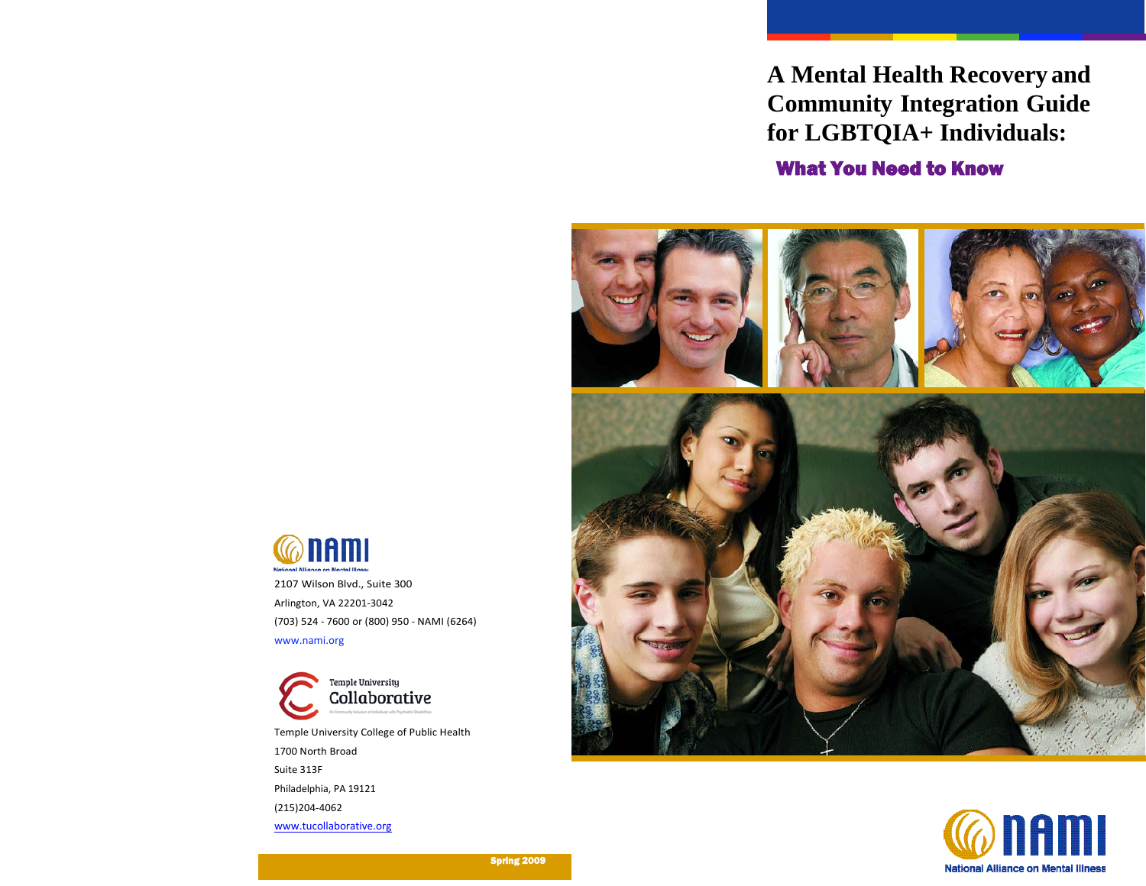**A Mental Health Recovery and Community Integration Guide for LGBTQIA+ Individuals:**

What You Need to Know







2107 Wilson Blvd., Suite 300 Arlington, VA 22201-3042 (703) 524 - 7600 or (800) 950 - NAMI (6264) [www.nami.org](http://www.nami.org/)

Temple University Collaborative Temple University College of Public Health 1700 North Broad Suite 313F Philadelphia, PA 19121 (215)204-4062 [www.tucollaborative.org](http://www.tucollaborative.org/)

Spring 2009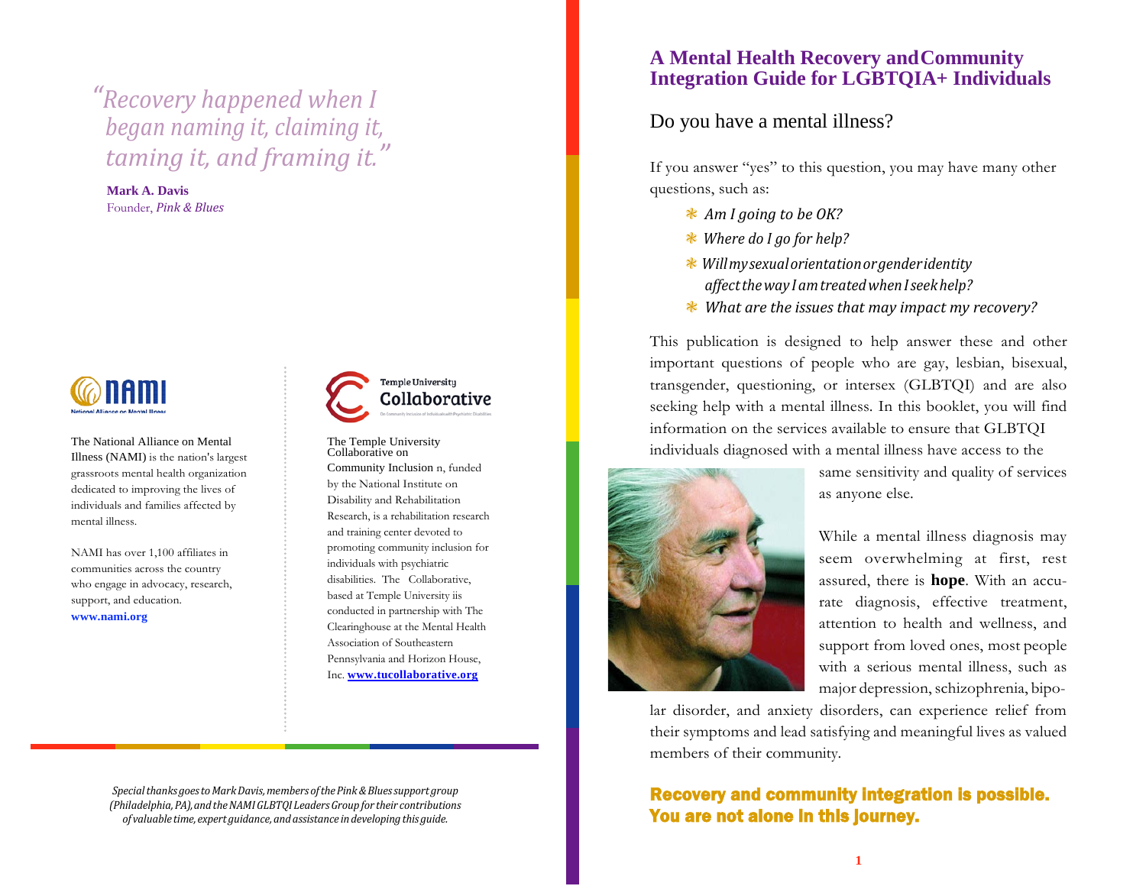# *"Recovery happened when I began naming it, claiming it, taming it, and framing it."*

**Mark A. Davis** Founder, *Pink & Blues*



The National Alliance on Mental Illness (NAMI) is the nation's largest grassroots mental health organization dedicated to improving the lives of individuals and families affected by mental illness.

NAMI has over 1,100 affiliates in communities across the country who engage in advocacy, research, support, and education.

**[www.nami.org](http://www.nami.org/)**



The Temple University Collaborative on Community Inclusion n, funded by the National Institute on Disability and Rehabilitation Research, is a rehabilitation research and training center devoted to promoting community inclusion for individuals with psychiatric disabilities. The Collaborative, based at Temple University iis conducted in partnership with The Clearinghouse at the Mental Health Association of Southeastern Pennsylvania and Horizon House, Inc. **[www.tucollaborative.org](http://www.tucollaborative.org/)**

### **A Mental Health Recovery andCommunity Integration Guide for LGBTQIA+ Individuals**

### Do you have a mental illness?

If you answer "yes" to this question, you may have many other questions, such as:

- ❃ *Am I going to be OK?*
- ❃ *Where do I go for help?*
- ❃*Willmysexualorientationorgenderidentity affecttheway IamtreatedwhenIseekhelp?*
- ❃ *What are the issues that may impact my recovery?*

This publication is designed to help answer these and other important questions of people who are gay, lesbian, bisexual, transgender, questioning, or intersex (GLBTQI) and are also seeking help with a mental illness. In this booklet, you will find information on the services available to ensure that GLBTQI individuals diagnosed with a mental illness have access to the



same sensitivity and quality of services as anyone else.

While a mental illness diagnosis may seem overwhelming at first, rest assured, there is **hope**. With an accurate diagnosis, effective treatment, attention to health and wellness, and support from loved ones, most people with a serious mental illness, such as major depression, schizophrenia, bipo-

lar disorder, and anxiety disorders, can experience relief from their symptoms and lead satisfying and meaningful lives as valued members of their community.

## Recovery and community integration is possible. You are not alone in this journey.

*Specialthanks goestoMarkDavis,members ofthePink&Bluessupport group (Philadelphia,PA),andtheNAMIGLBTQI LeadersGroup for their contributions of valuable time, expert guidance,andassistance in developing this guide.*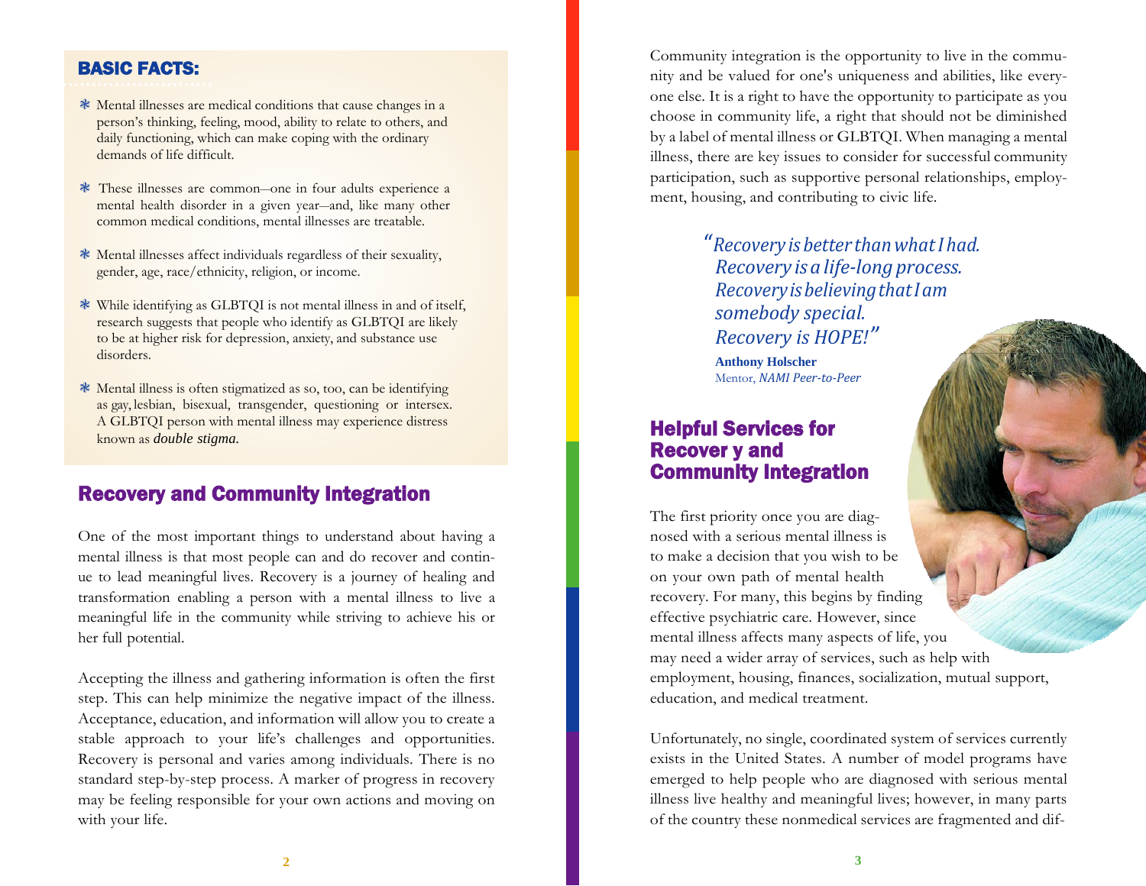### BASIC FACTS:

- ❃ Mental illnesses are medical conditions that cause changes in a person's thinking, feeling, mood, ability to relate to others, and daily functioning, which can make coping with the ordinary demands of life difficult.
- ❃ These illnesses are common––one in four adults experience a mental health disorder in a given year--and, like many other common medical conditions, mental illnesses are treatable.
- ❃ Mental illnesses affect individuals regardless of their sexuality, gender, age, race/ethnicity, religion, or income.
- ❃ While identifying as GLBTQI is not mental illness in and of itself, research suggests that people who identify as GLBTQI are likely to be at higher risk for depression, anxiety, and substance use disorders.
- ❃ Mental illness is often stigmatized as so, too, can be identifying as gay, lesbian, bisexual, transgender, questioning or intersex. A GLBTQI person with mental illness may experience distress known as *double stigma.*

# Recovery and Community Integration

One of the most important things to understand about having a mental illness is that most people can and do recover and continue to lead meaningful lives. Recovery is a journey of healing and transformation enabling a person with a mental illness to live a meaningful life in the community while striving to achieve his or her full potential.

Accepting the illness and gathering information is often the first step. This can help minimize the negative impact of the illness. Acceptance, education, and information will allow you to create a stable approach to your life's challenges and opportunities. Recovery is personal and varies among individuals. There is no standard step-by-step process. A marker of progress in recovery may be feeling responsible for your own actions and moving on with your life.

Community integration is the opportunity to live in the community and be valued for one's uniqueness and abilities, like everyone else. It is a right to have the opportunity to participate as you choose in community life, a right that should not be diminished by a label of mental illness or GLBTQI. When managing a mental illness, there are key issues to consider for successful community participation, such as supportive personal relationships, employment, housing, and contributing to civic life.

> *"Recovery is better thanwhatI had. Recovery isa life-long process. RecoveryisbelievingthatIam somebody special. Recovery is HOPE!"*

**Anthony Holscher** Mentor, *NAMI Peer-to-Peer*

## Helpful Services for Recover y and Community Integration

The first priority once you are diagnosed with a serious mental illness is to make a decision that you wish to be on your own path of mental health recovery. For many, this begins by finding effective psychiatric care. However, since mental illness affects many aspects of life, you may need a wider array of services, such as help with employment, housing, finances, socialization, mutual support, education, and medical treatment.

Unfortunately, no single, coordinated system of services currently exists in the United States. A number of model programs have emerged to help people who are diagnosed with serious mental illness live healthy and meaningful lives; however, in many parts of the country these nonmedical services are fragmented and dif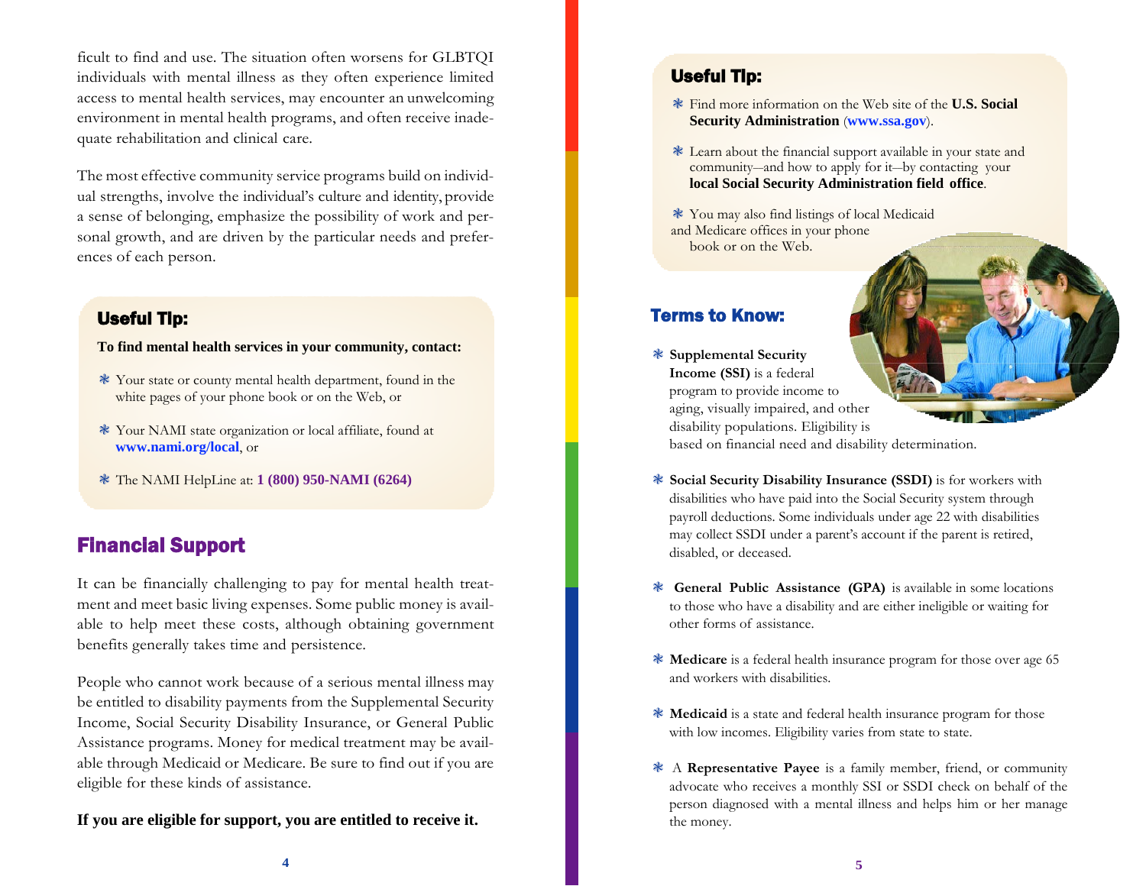ficult to find and use. The situation often worsens for GLBTQI individuals with mental illness as they often experience limited access to mental health services, may encounter an unwelcoming environment in mental health programs, and often receive inadequate rehabilitation and clinical care.

The most effective community service programs build on individual strengths, involve the individual's culture and identity, provide a sense of belonging, emphasize the possibility of work and personal growth, and are driven by the particular needs and preferences of each person.

### Useful Tip:

**To find mental health services in your community, contact:**

- ❃ Your state or county mental health department, found in the white pages of your phone book or on the Web, or
- ❃ Your NAMI state organization or local affiliate, found at **[www.nami.org/local](http://www.nami.org/local)**, or
- ❃ The NAMI HelpLine at: **1 (800) 950-NAMI (6264)**

# Financial Support

It can be financially challenging to pay for mental health treatment and meet basic living expenses. Some public money is available to help meet these costs, although obtaining government benefits generally takes time and persistence.

People who cannot work because of a serious mental illness may be entitled to disability payments from the Supplemental Security Income, Social Security Disability Insurance, or General Public Assistance programs. Money for medical treatment may be available through Medicaid or Medicare. Be sure to find out if you are eligible for these kinds of assistance.

### **If you are eligible for support, you are entitled to receive it.**

### Useful Tip:

- ❃ Find more information on the Web site of the **U.S. Social Security Administration** (**www.ssa.gov**).
- ❃ Learn about the financial support available in your state and community––and how to apply for it––by contacting your **local Social Security Administration field office**.
- ❃ You may also find listings of local Medicaid and Medicare offices in your phone book or on the Web.

### Terms to Know:

❃ **Supplemental Security Income (SSI)** is a federal program to provide income to aging, visually impaired, and other disability populations. Eligibility is

based on financial need and disability determination.

- ❃ **Social Security Disability Insurance (SSDI)** is for workers with disabilities who have paid into the Social Security system through payroll deductions. Some individuals under age 22 with disabilities may collect SSDI under a parent's account if the parent is retired, disabled, or deceased.
- ❃ **General Public Assistance (GPA)** is available in some locations to those who have a disability and are either ineligible or waiting for other forms of assistance.
- ❃ **Medicare** is a federal health insurance program for those over age 65 and workers with disabilities.
- ❃ **Medicaid** is a state and federal health insurance program for those with low incomes. Eligibility varies from state to state.
- ❃ A **Representative Payee** is a family member, friend, or community advocate who receives a monthly SSI or SSDI check on behalf of the person diagnosed with a mental illness and helps him or her manage the money.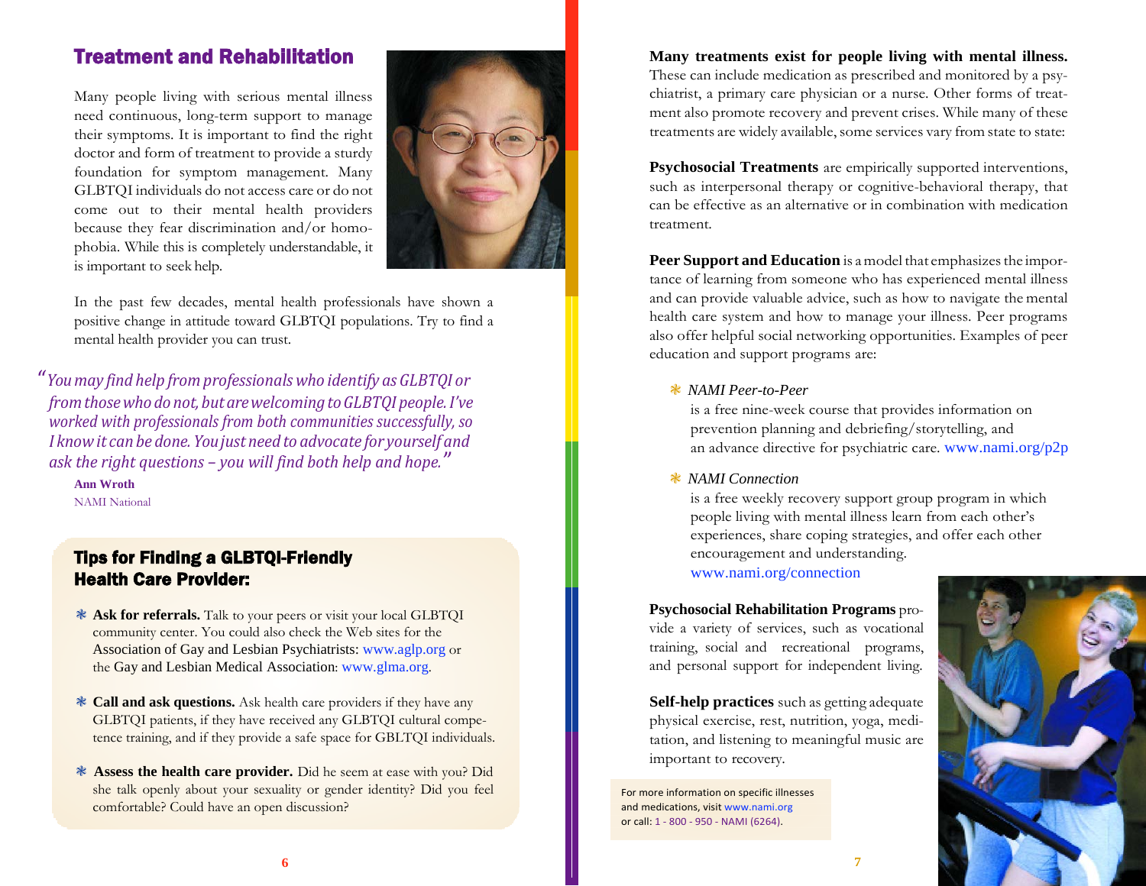# Treatment and Rehabilitation

Many people living with serious mental illness need continuous, long-term support to manage their symptoms. It is important to find the right doctor and form of treatment to provide a sturdy foundation for symptom management. Many GLBTQI individuals do not access care or do not come out to their mental health providers because they fear discrimination and/or homophobia. While this is completely understandable, it is important to seek help.



In the past few decades, mental health professionals have shown a positive change in attitude toward GLBTQI populations. Try to find a mental health provider you can trust.

*" Youmay find help fromprofessionals who identify as GLBTQI or fromthosewho donot, butarewelcomingtoGLBTQI people.I've worked with professionals from both communities successfully, so I knowit can be done. Youjust need to advocate for yourself and ask the right questions – you will find both help and hope."*

**Ann Wroth** NAMI National

## Tips for Finding a GLBTQI-Friendly Health Care Provider:

- ❃ **Ask for referrals.** Talk to your peers or visit your local GLBTQI community center. You could also check the Web sites for the Association of Gay and Lesbian Psychiatrists[: www.aglp.org](http://www.aglp.org/) or the Gay and Lesbian Medical Association: [www.glma.org](http://www.glma.org/).
- ❃ **Call and ask questions.** Ask health care providers if they have any GLBTQI patients, if they have received any GLBTQI cultural competence training, and if they provide a safe space for GBLTQI individuals.
- ❃ **Assess the health care provider.** Did he seem at ease with you? Did she talk openly about your sexuality or gender identity? Did you feel comfortable? Could have an open discussion?

**Many treatments exist for people living with mental illness.** 

These can include medication as prescribed and monitored by a psychiatrist, a primary care physician or a nurse. Other forms of treatment also promote recovery and prevent crises. While many of these treatments are widely available, some services vary from state to state:

**Psychosocial Treatments** are empirically supported interventions, such as interpersonal therapy or cognitive-behavioral therapy, that can be effective as an alternative or in combination with medication treatment.

**Peer Support and Education** is a model that emphasizes the importance of learning from someone who has experienced mental illness and can provide valuable advice, such as how to navigate the mental health care system and how to manage your illness. Peer programs also offer helpful social networking opportunities. Examples of peer education and support programs are:

#### ❃ *NAMI Peer-to-Peer*

is a free nine-week course that provides information on prevention planning and debriefing/storytelling, and an advance directive for psychiatric care. [www.nami.org/p2p](http://www.nami.org/p2p)

#### ❃ *NAMI Connection*

is a free weekly recovery support group program in which people living with mental illness learn from each other's experiences, share coping strategies, and offer each other encouragement and understanding. [www.nami.org/connection](http://www.nami.org/connection)

**Psychosocial Rehabilitation Programs** provide a variety of services, such as vocational training, social and recreational programs, and personal support for independent living.

**Self-help practices** such as getting adequate physical exercise, rest, nutrition, yoga, meditation, and listening to meaningful music are important to recovery.

For more information on specific illnesses and medications, visi[t www.nami.org](http://www.nami.org/) or call: 1 - 800 - 950 - NAMI (6264).

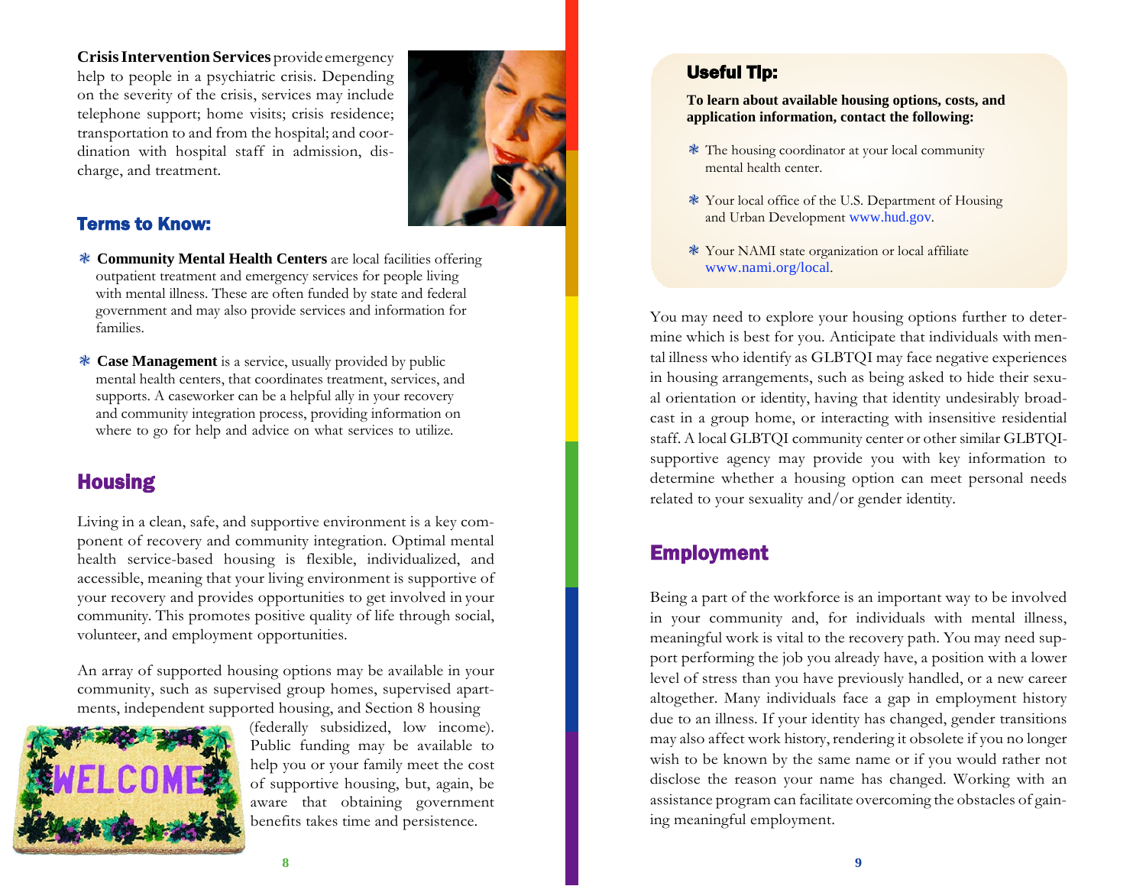**CrisisIntervention Services** provide emergency help to people in a psychiatric crisis. Depending on the severity of the crisis, services may include telephone support; home visits; crisis residence; transportation to and from the hospital; and coordination with hospital staff in admission, discharge, and treatment.



## Terms to Know:

- ❃ **Community Mental Health Centers** are local facilities offering outpatient treatment and emergency services for people living with mental illness. These are often funded by state and federal government and may also provide services and information for families.
- ❃ **Case Management** is a service, usually provided by public mental health centers, that coordinates treatment, services, and supports. A caseworker can be a helpful ally in your recovery and community integration process, providing information on where to go for help and advice on what services to utilize.

# **Housing**

Living in a clean, safe, and supportive environment is a key component of recovery and community integration. Optimal mental health service-based housing is flexible, individualized, and accessible, meaning that your living environment is supportive of your recovery and provides opportunities to get involved in your community. This promotes positive quality of life through social, volunteer, and employment opportunities.

An array of supported housing options may be available in your community, such as supervised group homes, supervised apartments, independent supported housing, and Section 8 housing



(federally subsidized, low income). Public funding may be available to help you or your family meet the cost of supportive housing, but, again, be aware that obtaining government benefits takes time and persistence.

## Useful Tip:

**To learn about available housing options, costs, and application information, contact the following:**

- ❃ The housing coordinator at your local community mental health center.
- ❃ Your local office of the U.S. Department of Housing and Urban Development [www.hud.gov](http://www.hud.gov/).
- ❃ Your NAMI state organization or local affiliate [www.nami.org/local](http://www.nami.org/local).

You may need to explore your housing options further to determine which is best for you. Anticipate that individuals with mental illness who identify as GLBTQI may face negative experiences in housing arrangements, such as being asked to hide their sexual orientation or identity, having that identity undesirably broadcast in a group home, or interacting with insensitive residential staff. A local GLBTQI community center or other similar GLBTQIsupportive agency may provide you with key information to determine whether a housing option can meet personal needs related to your sexuality and/or gender identity.

# Employment

Being a part of the workforce is an important way to be involved in your community and, for individuals with mental illness, meaningful work is vital to the recovery path. You may need support performing the job you already have, a position with a lower level of stress than you have previously handled, or a new career altogether. Many individuals face a gap in employment history due to an illness. If your identity has changed, gender transitions may also affect work history, rendering it obsolete if you no longer wish to be known by the same name or if you would rather not disclose the reason your name has changed. Working with an assistance program can facilitate overcoming the obstacles of gaining meaningful employment.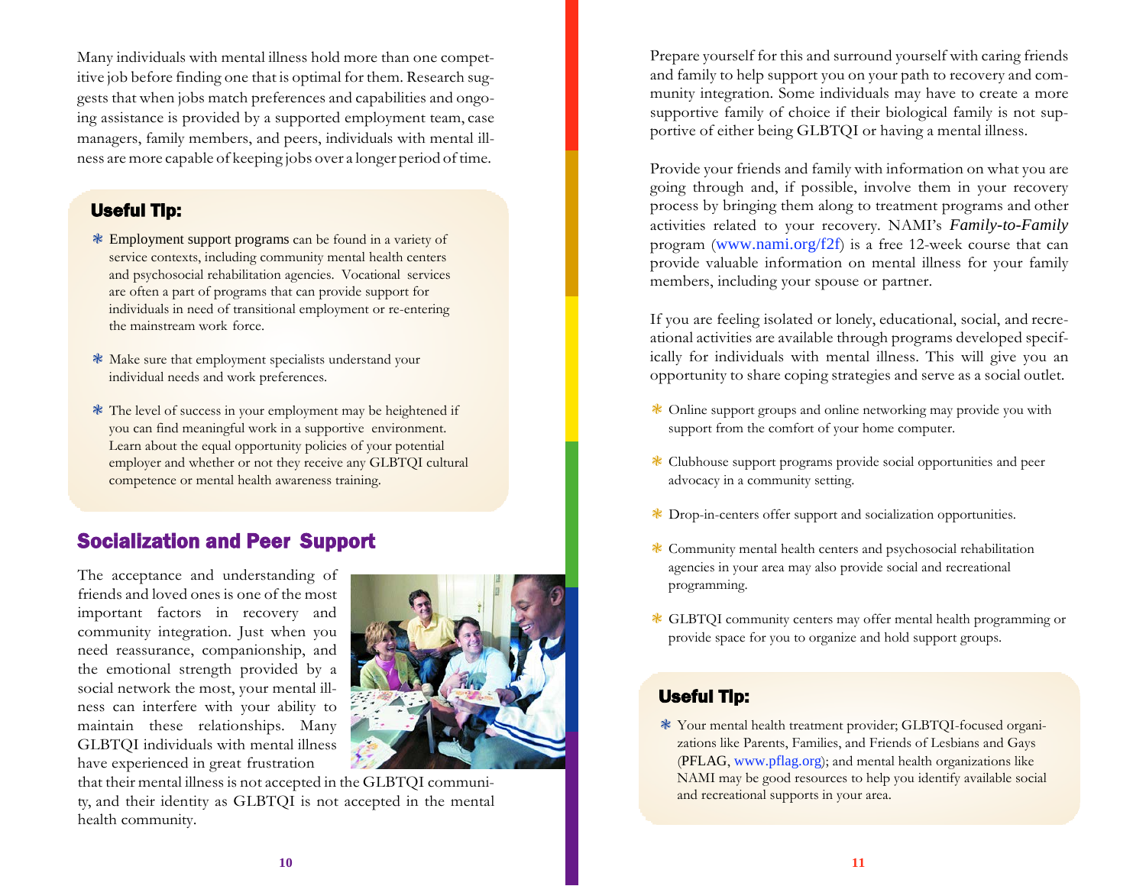Many individuals with mental illness hold more than one competitive job before finding one that is optimal for them. Research suggests that when jobs match preferences and capabilities and ongoing assistance is provided by a supported employment team, case managers, family members, and peers, individuals with mental illness are more capable of keeping jobs over a longer period of time.

### Useful Tip:

- ❃ Employment support programs can be found in a variety of service contexts, including community mental health centers and psychosocial rehabilitation agencies. Vocational services are often a part of programs that can provide support for individuals in need of transitional employment or re-entering the mainstream work force.
- ❃ Make sure that employment specialists understand your individual needs and work preferences.
- ❃ The level of success in your employment may be heightened if you can find meaningful work in a supportive environment. Learn about the equal opportunity policies of your potential employer and whether or not they receive any GLBTQI cultural competence or mental health awareness training.

# Socialization and Peer Support

The acceptance and understanding of friends and loved ones is one of the most important factors in recovery and community integration. Just when you need reassurance, companionship, and the emotional strength provided by a social network the most, your mental illness can interfere with your ability to maintain these relationships. Many GLBTQI individuals with mental illness have experienced in great frustration



that their mental illness is not accepted in the GLBTQI community, and their identity as GLBTQI is not accepted in the mental health community.

Prepare yourself for this and surround yourself with caring friends and family to help support you on your path to recovery and community integration. Some individuals may have to create a more supportive family of choice if their biological family is not supportive of either being GLBTQI or having a mental illness.

Provide your friends and family with information on what you are going through and, if possible, involve them in your recovery process by bringing them along to treatment programs and other activities related to your recovery. NAMI's *Family-to-Family*  program ([www.nami.org/f2f](http://www.nami.org/f2f))) is a free 12-week course that can provide valuable information on mental illness for your family members, including your spouse or partner.

If you are feeling isolated or lonely, educational, social, and recreational activities are available through programs developed specifically for individuals with mental illness. This will give you an opportunity to share coping strategies and serve as a social outlet.

- ❃ Online support groups and online networking may provide you with support from the comfort of your home computer.
- ❃ Clubhouse support programs provide social opportunities and peer advocacy in a community setting.
- ❃ Drop-in-centers offer support and socialization opportunities.
- ❃ Community mental health centers and psychosocial rehabilitation agencies in your area may also provide social and recreational programming.
- ❃ GLBTQI community centers may offer mental health programming or provide space for you to organize and hold support groups.

## Useful Tip:

❃ Your mental health treatment provider; GLBTQI-focused organizations like Parents, Families, and Friends of Lesbians and Gays (PFLAG, www.pflag.org); and mental health organizations like NAMI may be good resources to help you identify available social and recreational supports in your area.